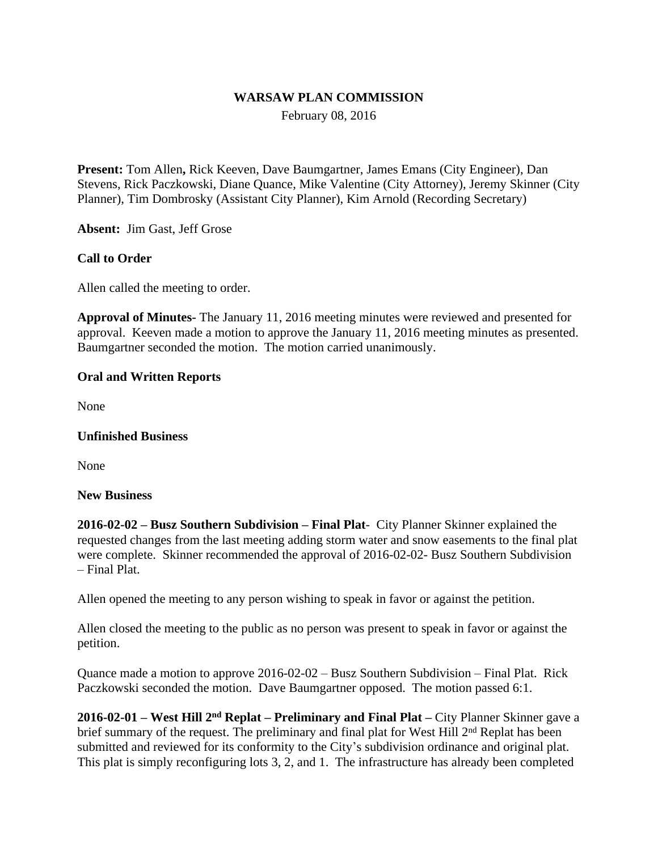# **WARSAW PLAN COMMISSION**

February 08, 2016

**Present:** Tom Allen**,** Rick Keeven, Dave Baumgartner, James Emans (City Engineer), Dan Stevens, Rick Paczkowski, Diane Quance, Mike Valentine (City Attorney), Jeremy Skinner (City Planner), Tim Dombrosky (Assistant City Planner), Kim Arnold (Recording Secretary)

**Absent:** Jim Gast, Jeff Grose

# **Call to Order**

Allen called the meeting to order.

**Approval of Minutes-** The January 11, 2016 meeting minutes were reviewed and presented for approval. Keeven made a motion to approve the January 11, 2016 meeting minutes as presented. Baumgartner seconded the motion. The motion carried unanimously.

# **Oral and Written Reports**

None

#### **Unfinished Business**

None

#### **New Business**

**2016-02-02 – Busz Southern Subdivision – Final Plat**- City Planner Skinner explained the requested changes from the last meeting adding storm water and snow easements to the final plat were complete. Skinner recommended the approval of 2016-02-02- Busz Southern Subdivision – Final Plat.

Allen opened the meeting to any person wishing to speak in favor or against the petition.

Allen closed the meeting to the public as no person was present to speak in favor or against the petition.

Quance made a motion to approve 2016-02-02 – Busz Southern Subdivision – Final Plat. Rick Paczkowski seconded the motion. Dave Baumgartner opposed. The motion passed 6:1.

**2016-02-01 – West Hill 2nd Replat – Preliminary and Final Plat –** City Planner Skinner gave a brief summary of the request. The preliminary and final plat for West Hill 2<sup>nd</sup> Replat has been submitted and reviewed for its conformity to the City's subdivision ordinance and original plat. This plat is simply reconfiguring lots 3, 2, and 1. The infrastructure has already been completed